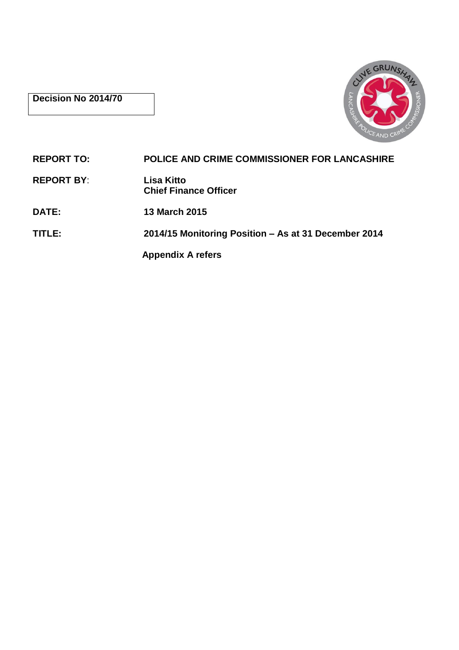# **Decision No 2014/70**



**REPORT TO: POLICE AND CRIME COMMISSIONER FOR LANCASHIRE REPORT BY**: **Lisa Kitto Chief Finance Officer DATE: 13 March 2015 TITLE: 2014/15 Monitoring Position – As at 31 December 2014 Appendix A refers**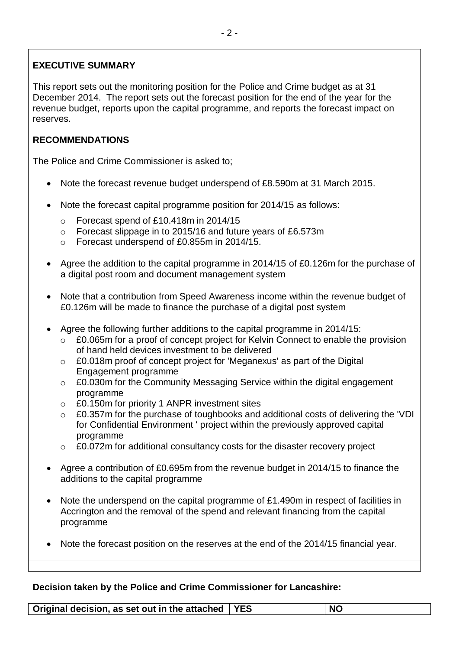# **EXECUTIVE SUMMARY**

This report sets out the monitoring position for the Police and Crime budget as at 31 December 2014. The report sets out the forecast position for the end of the year for the revenue budget, reports upon the capital programme, and reports the forecast impact on reserves.

# **RECOMMENDATIONS**

The Police and Crime Commissioner is asked to;

- Note the forecast revenue budget underspend of £8.590m at 31 March 2015.
- Note the forecast capital programme position for 2014/15 as follows:
	- o Forecast spend of £10.418m in 2014/15
	- o Forecast slippage in to 2015/16 and future years of £6.573m
	- o Forecast underspend of £0.855m in 2014/15.
- Agree the addition to the capital programme in 2014/15 of £0.126m for the purchase of a digital post room and document management system
- Note that a contribution from Speed Awareness income within the revenue budget of £0.126m will be made to finance the purchase of a digital post system
- Agree the following further additions to the capital programme in 2014/15:
	- o £0.065m for a proof of concept project for Kelvin Connect to enable the provision of hand held devices investment to be delivered
	- o £0.018m proof of concept project for 'Meganexus' as part of the Digital Engagement programme
	- o £0.030m for the Community Messaging Service within the digital engagement programme
	- o £0.150m for priority 1 ANPR investment sites
	- o £0.357m for the purchase of toughbooks and additional costs of delivering the 'VDI for Confidential Environment ' project within the previously approved capital programme
	- o £0.072m for additional consultancy costs for the disaster recovery project
- Agree a contribution of £0.695m from the revenue budget in 2014/15 to finance the additions to the capital programme
- Note the underspend on the capital programme of £1.490m in respect of facilities in Accrington and the removal of the spend and relevant financing from the capital programme
- Note the forecast position on the reserves at the end of the 2014/15 financial year.

#### **Decision taken by the Police and Crime Commissioner for Lancashire:**

**Original decision, as set out in the attached YES NO**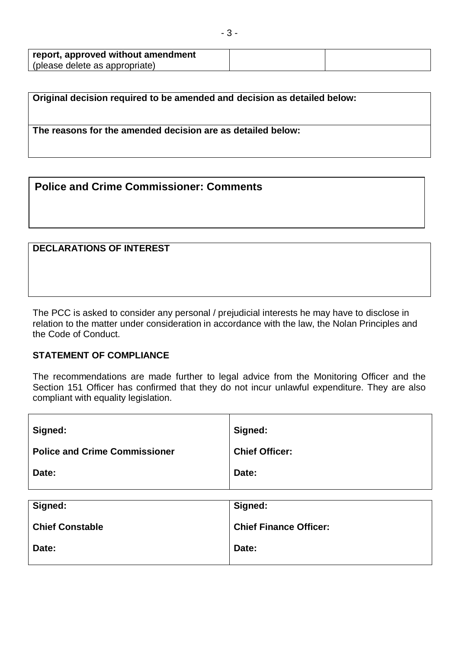| report, approved without amendment |  |
|------------------------------------|--|
| (please delete as appropriate)     |  |

| Original decision required to be amended and decision as detailed below: |
|--------------------------------------------------------------------------|
| The reasons for the amended decision are as detailed below:              |

## **Police and Crime Commissioner: Comments**

### **DECLARATIONS OF INTEREST**

The PCC is asked to consider any personal / prejudicial interests he may have to disclose in relation to the matter under consideration in accordance with the law, the Nolan Principles and the Code of Conduct.

#### **STATEMENT OF COMPLIANCE**

The recommendations are made further to legal advice from the Monitoring Officer and the Section 151 Officer has confirmed that they do not incur unlawful expenditure. They are also compliant with equality legislation.

| Signed:                              | Signed:                       |
|--------------------------------------|-------------------------------|
| <b>Police and Crime Commissioner</b> | <b>Chief Officer:</b>         |
| Date:                                | Date:                         |
|                                      |                               |
| Signed:                              | Signed:                       |
| <b>Chief Constable</b>               | <b>Chief Finance Officer:</b> |
| Date:                                | Date:                         |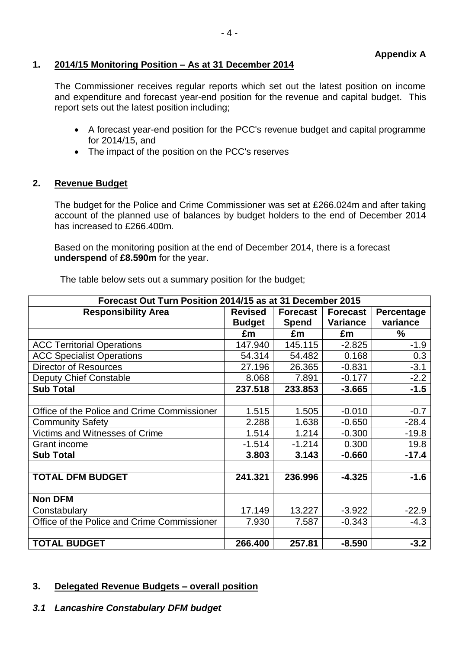### **1. 2014/15 Monitoring Position – As at 31 December 2014**

The Commissioner receives regular reports which set out the latest position on income and expenditure and forecast year-end position for the revenue and capital budget. This report sets out the latest position including;

- A forecast year-end position for the PCC's revenue budget and capital programme for 2014/15, and
- The impact of the position on the PCC's reserves

### **2. Revenue Budget**

The budget for the Police and Crime Commissioner was set at £266.024m and after taking account of the planned use of balances by budget holders to the end of December 2014 has increased to £266.400m.

Based on the monitoring position at the end of December 2014, there is a forecast **underspend** of **£8.590m** for the year.

The table below sets out a summary position for the budget;

| Forecast Out Turn Position 2014/15 as at 31 December 2015 |                |                 |                 |            |  |
|-----------------------------------------------------------|----------------|-----------------|-----------------|------------|--|
| <b>Responsibility Area</b>                                | <b>Revised</b> | <b>Forecast</b> | <b>Forecast</b> | Percentage |  |
|                                                           | <b>Budget</b>  | <b>Spend</b>    | <b>Variance</b> | variance   |  |
|                                                           | £m             | £m              | £m              | %          |  |
| <b>ACC Territorial Operations</b>                         | 147.940        | 145.115         | $-2.825$        | $-1.9$     |  |
| <b>ACC Specialist Operations</b>                          | 54.314         | 54.482          | 0.168           | 0.3        |  |
| <b>Director of Resources</b>                              | 27.196         | 26.365          | $-0.831$        | $-3.1$     |  |
| <b>Deputy Chief Constable</b>                             | 8.068          | 7.891           | $-0.177$        | $-2.2$     |  |
| <b>Sub Total</b>                                          | 237.518        | 233.853         | $-3.665$        | $-1.5$     |  |
|                                                           |                |                 |                 |            |  |
| Office of the Police and Crime Commissioner               | 1.515          | 1.505           | $-0.010$        | $-0.7$     |  |
| <b>Community Safety</b>                                   | 2.288          | 1.638           | $-0.650$        | $-28.4$    |  |
| Victims and Witnesses of Crime                            | 1.514          | 1.214           | $-0.300$        | $-19.8$    |  |
| Grant income                                              | $-1.514$       | $-1.214$        | 0.300           | 19.8       |  |
| <b>Sub Total</b>                                          | 3.803          | 3.143           | $-0.660$        | $-17.4$    |  |
|                                                           |                |                 |                 |            |  |
| <b>TOTAL DFM BUDGET</b>                                   | 241.321        | 236.996         | $-4.325$        | $-1.6$     |  |
|                                                           |                |                 |                 |            |  |
| <b>Non DFM</b>                                            |                |                 |                 |            |  |
| Constabulary                                              | 17.149         | 13.227          | $-3.922$        | $-22.9$    |  |
| Office of the Police and Crime Commissioner               | 7.930          | 7.587           | $-0.343$        | $-4.3$     |  |
|                                                           |                |                 |                 |            |  |
| <b>TOTAL BUDGET</b>                                       | 266.400        | 257.81          | $-8.590$        | $-3.2$     |  |

#### **3. Delegated Revenue Budgets – overall position**

#### *3.1 Lancashire Constabulary DFM budget*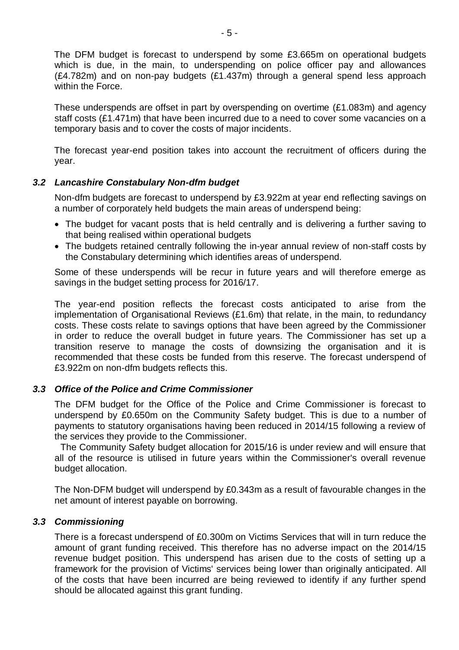The DFM budget is forecast to underspend by some £3.665m on operational budgets which is due, in the main, to underspending on police officer pay and allowances (£4.782m) and on non-pay budgets (£1.437m) through a general spend less approach within the Force.

These underspends are offset in part by overspending on overtime (£1.083m) and agency staff costs (£1.471m) that have been incurred due to a need to cover some vacancies on a temporary basis and to cover the costs of major incidents.

The forecast year-end position takes into account the recruitment of officers during the year.

#### *3.2 Lancashire Constabulary Non-dfm budget*

Non-dfm budgets are forecast to underspend by £3.922m at year end reflecting savings on a number of corporately held budgets the main areas of underspend being:

- The budget for vacant posts that is held centrally and is delivering a further saving to that being realised within operational budgets
- The budgets retained centrally following the in-year annual review of non-staff costs by the Constabulary determining which identifies areas of underspend.

Some of these underspends will be recur in future years and will therefore emerge as savings in the budget setting process for 2016/17.

The year-end position reflects the forecast costs anticipated to arise from the implementation of Organisational Reviews (£1.6m) that relate, in the main, to redundancy costs. These costs relate to savings options that have been agreed by the Commissioner in order to reduce the overall budget in future years. The Commissioner has set up a transition reserve to manage the costs of downsizing the organisation and it is recommended that these costs be funded from this reserve. The forecast underspend of £3.922m on non-dfm budgets reflects this.

#### *3.3 Office of the Police and Crime Commissioner*

The DFM budget for the Office of the Police and Crime Commissioner is forecast to underspend by £0.650m on the Community Safety budget. This is due to a number of payments to statutory organisations having been reduced in 2014/15 following a review of the services they provide to the Commissioner.

The Community Safety budget allocation for 2015/16 is under review and will ensure that all of the resource is utilised in future years within the Commissioner's overall revenue budget allocation.

The Non-DFM budget will underspend by £0.343m as a result of favourable changes in the net amount of interest payable on borrowing.

#### *3.3 Commissioning*

There is a forecast underspend of £0.300m on Victims Services that will in turn reduce the amount of grant funding received. This therefore has no adverse impact on the 2014/15 revenue budget position. This underspend has arisen due to the costs of setting up a framework for the provision of Victims' services being lower than originally anticipated. All of the costs that have been incurred are being reviewed to identify if any further spend should be allocated against this grant funding.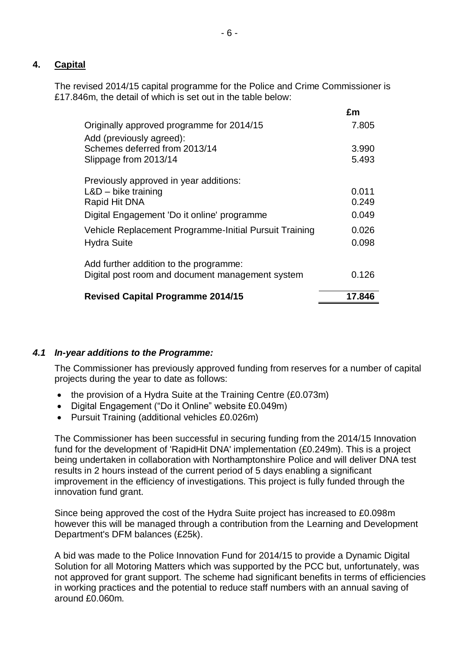### **4. Capital**

The revised 2014/15 capital programme for the Police and Crime Commissioner is £17.846m, the detail of which is set out in the table below:

|                                                        | £m     |
|--------------------------------------------------------|--------|
| Originally approved programme for 2014/15              | 7.805  |
| Add (previously agreed):                               |        |
| Schemes deferred from 2013/14                          | 3.990  |
| Slippage from 2013/14                                  | 5.493  |
| Previously approved in year additions:                 |        |
| $L&D$ – bike training                                  | 0.011  |
| Rapid Hit DNA                                          | 0.249  |
| Digital Engagement 'Do it online' programme            | 0.049  |
| Vehicle Replacement Programme-Initial Pursuit Training | 0.026  |
| <b>Hydra Suite</b>                                     | 0.098  |
| Add further addition to the programme:                 |        |
| Digital post room and document management system       | 0.126  |
| <b>Revised Capital Programme 2014/15</b>               | 17.846 |
|                                                        |        |

#### *4.1 In-year additions to the Programme:*

The Commissioner has previously approved funding from reserves for a number of capital projects during the year to date as follows:

- the provision of a Hydra Suite at the Training Centre (£0.073m)
- Digital Engagement ("Do it Online" website £0.049m)
- Pursuit Training (additional vehicles £0.026m)

The Commissioner has been successful in securing funding from the 2014/15 Innovation fund for the development of 'RapidHit DNA' implementation (£0.249m). This is a project being undertaken in collaboration with Northamptonshire Police and will deliver DNA test results in 2 hours instead of the current period of 5 days enabling a significant improvement in the efficiency of investigations. This project is fully funded through the innovation fund grant.

Since being approved the cost of the Hydra Suite project has increased to £0.098m however this will be managed through a contribution from the Learning and Development Department's DFM balances (£25k).

A bid was made to the Police Innovation Fund for 2014/15 to provide a Dynamic Digital Solution for all Motoring Matters which was supported by the PCC but, unfortunately, was not approved for grant support. The scheme had significant benefits in terms of efficiencies in working practices and the potential to reduce staff numbers with an annual saving of around £0.060m.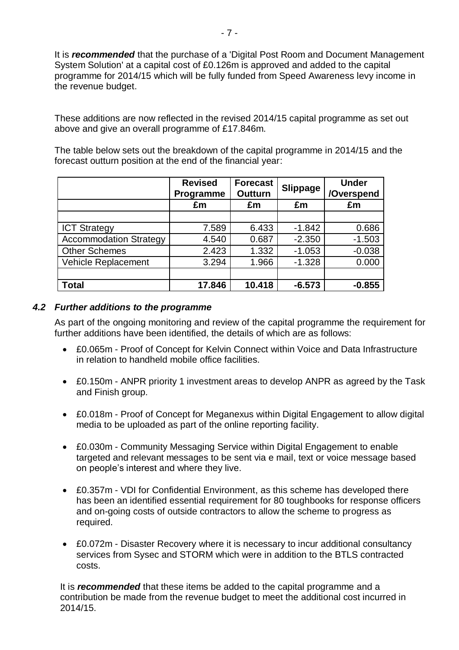It is *recommended* that the purchase of a 'Digital Post Room and Document Management System Solution' at a capital cost of £0.126m is approved and added to the capital programme for 2014/15 which will be fully funded from Speed Awareness levy income in the revenue budget.

These additions are now reflected in the revised 2014/15 capital programme as set out above and give an overall programme of £17.846m.

The table below sets out the breakdown of the capital programme in 2014/15 and the forecast outturn position at the end of the financial year:

|                               | <b>Revised</b><br>Programme | <b>Forecast</b><br><b>Outturn</b> | <b>Slippage</b> | <b>Under</b><br>/Overspend |
|-------------------------------|-----------------------------|-----------------------------------|-----------------|----------------------------|
|                               | £m                          | £m                                | £m              | £m                         |
|                               |                             |                                   |                 |                            |
| <b>ICT Strategy</b>           | 7.589                       | 6.433                             | $-1.842$        | 0.686                      |
| <b>Accommodation Strategy</b> | 4.540                       | 0.687                             | $-2.350$        | $-1.503$                   |
| <b>Other Schemes</b>          | 2.423                       | 1.332                             | $-1.053$        | $-0.038$                   |
| <b>Vehicle Replacement</b>    | 3.294                       | 1.966                             | $-1.328$        | 0.000                      |
|                               |                             |                                   |                 |                            |
| Total                         | 17.846                      | 10.418                            | $-6.573$        | $-0.855$                   |

#### *4.2 Further additions to the programme*

As part of the ongoing monitoring and review of the capital programme the requirement for further additions have been identified, the details of which are as follows:

- £0.065m Proof of Concept for Kelvin Connect within Voice and Data Infrastructure in relation to handheld mobile office facilities.
- £0.150m ANPR priority 1 investment areas to develop ANPR as agreed by the Task and Finish group.
- £0.018m Proof of Concept for Meganexus within Digital Engagement to allow digital media to be uploaded as part of the online reporting facility.
- £0.030m Community Messaging Service within Digital Engagement to enable targeted and relevant messages to be sent via e mail, text or voice message based on people's interest and where they live.
- £0.357m VDI for Confidential Environment, as this scheme has developed there has been an identified essential requirement for 80 toughbooks for response officers and on-going costs of outside contractors to allow the scheme to progress as required.
- £0.072m Disaster Recovery where it is necessary to incur additional consultancy services from Sysec and STORM which were in addition to the BTLS contracted costs.

It is *recommended* that these items be added to the capital programme and a contribution be made from the revenue budget to meet the additional cost incurred in 2014/15.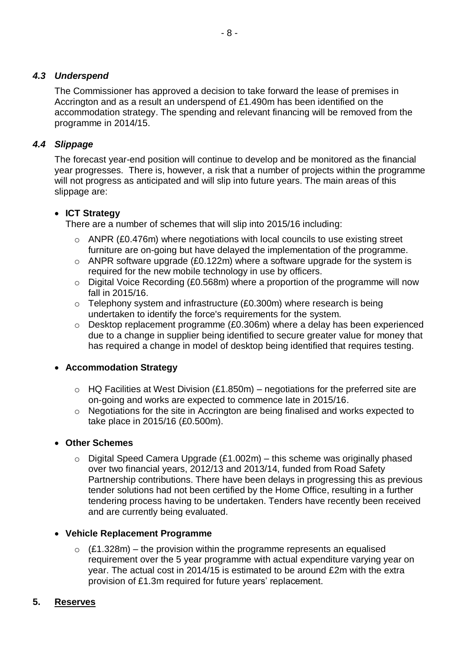### *4.3 Underspend*

The Commissioner has approved a decision to take forward the lease of premises in Accrington and as a result an underspend of £1.490m has been identified on the accommodation strategy. The spending and relevant financing will be removed from the programme in 2014/15.

### *4.4 Slippage*

The forecast year-end position will continue to develop and be monitored as the financial year progresses. There is, however, a risk that a number of projects within the programme will not progress as anticipated and will slip into future years. The main areas of this slippage are:

### **ICT Strategy**

There are a number of schemes that will slip into 2015/16 including:

- o ANPR (£0.476m) where negotiations with local councils to use existing street furniture are on-going but have delayed the implementation of the programme.
- $\circ$  ANPR software upgrade (£0.122m) where a software upgrade for the system is required for the new mobile technology in use by officers.
- o Digital Voice Recording (£0.568m) where a proportion of the programme will now fall in 2015/16.
- $\circ$  Telephony system and infrastructure (£0.300m) where research is being undertaken to identify the force's requirements for the system.
- o Desktop replacement programme (£0.306m) where a delay has been experienced due to a change in supplier being identified to secure greater value for money that has required a change in model of desktop being identified that requires testing.

#### **Accommodation Strategy**

- $\circ$  HQ Facilities at West Division (£1.850m) negotiations for the preferred site are on-going and works are expected to commence late in 2015/16.
- o Negotiations for the site in Accrington are being finalised and works expected to take place in 2015/16 (£0.500m).
- **Other Schemes** 
	- $\circ$  Digital Speed Camera Upgrade (£1.002m) this scheme was originally phased over two financial years, 2012/13 and 2013/14, funded from Road Safety Partnership contributions. There have been delays in progressing this as previous tender solutions had not been certified by the Home Office, resulting in a further tendering process having to be undertaken. Tenders have recently been received and are currently being evaluated.

#### **Vehicle Replacement Programme**

 $\circ$  (£1.328m) – the provision within the programme represents an equalised requirement over the 5 year programme with actual expenditure varying year on year. The actual cost in 2014/15 is estimated to be around £2m with the extra provision of £1.3m required for future years' replacement.

### **5. Reserves**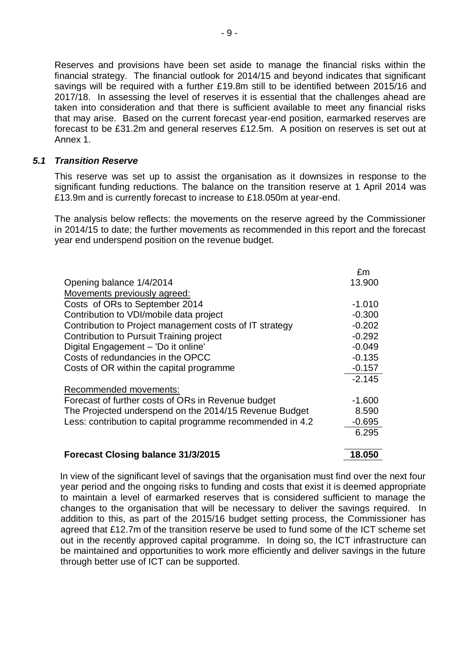Reserves and provisions have been set aside to manage the financial risks within the financial strategy. The financial outlook for 2014/15 and beyond indicates that significant savings will be required with a further £19.8m still to be identified between 2015/16 and 2017/18. In assessing the level of reserves it is essential that the challenges ahead are taken into consideration and that there is sufficient available to meet any financial risks that may arise. Based on the current forecast year-end position, earmarked reserves are forecast to be £31.2m and general reserves £12.5m. A position on reserves is set out at Annex 1.

#### *5.1 Transition Reserve*

This reserve was set up to assist the organisation as it downsizes in response to the significant funding reductions. The balance on the transition reserve at 1 April 2014 was £13.9m and is currently forecast to increase to £18.050m at year-end.

The analysis below reflects: the movements on the reserve agreed by the Commissioner in 2014/15 to date; the further movements as recommended in this report and the forecast year end underspend position on the revenue budget.

|                                                            | £m       |
|------------------------------------------------------------|----------|
| Opening balance 1/4/2014                                   | 13.900   |
| Movements previously agreed:                               |          |
| Costs of ORs to September 2014                             | $-1.010$ |
| Contribution to VDI/mobile data project                    | $-0.300$ |
| Contribution to Project management costs of IT strategy    | $-0.202$ |
| Contribution to Pursuit Training project                   | $-0.292$ |
| Digital Engagement - 'Do it online'                        | $-0.049$ |
| Costs of redundancies in the OPCC                          | $-0.135$ |
| Costs of OR within the capital programme                   | $-0.157$ |
|                                                            | $-2.145$ |
| Recommended movements:                                     |          |
| Forecast of further costs of ORs in Revenue budget         | $-1.600$ |
| The Projected underspend on the 2014/15 Revenue Budget     | 8.590    |
| Less: contribution to capital programme recommended in 4.2 | $-0.695$ |
|                                                            | 6.295    |
| <b>Forecast Closing balance 31/3/2015</b>                  | 18.050   |

In view of the significant level of savings that the organisation must find over the next four year period and the ongoing risks to funding and costs that exist it is deemed appropriate to maintain a level of earmarked reserves that is considered sufficient to manage the changes to the organisation that will be necessary to deliver the savings required. In addition to this, as part of the 2015/16 budget setting process, the Commissioner has agreed that £12.7m of the transition reserve be used to fund some of the ICT scheme set out in the recently approved capital programme. In doing so, the ICT infrastructure can be maintained and opportunities to work more efficiently and deliver savings in the future through better use of ICT can be supported.